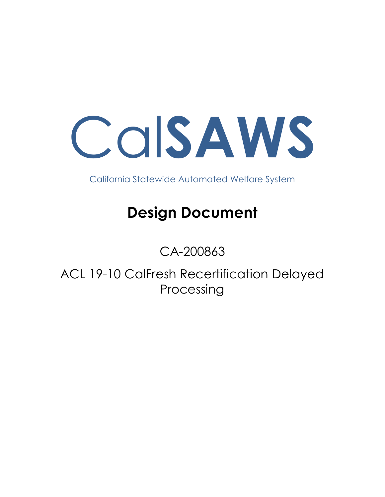Cal**SAWS**

California Statewide Automated Welfare System

# **Design Document**

## CA-200863

ACL 19-10 CalFresh Recertification Delayed Processing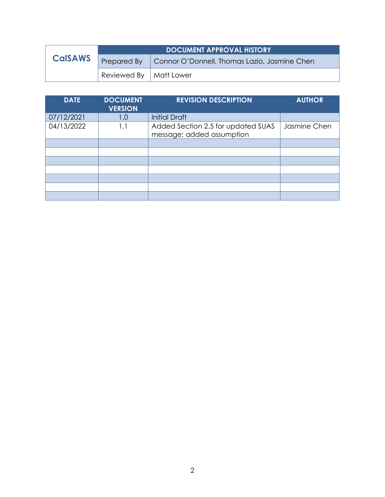|                | DOCUMENT APPROVAL HISTORY |                                              |  |  |  |
|----------------|---------------------------|----------------------------------------------|--|--|--|
| <b>CalSAWS</b> | <b>Prepared By</b>        | Connor O'Donnell, Thomas Lazio, Jasmine Chen |  |  |  |
|                | Reviewed By   Matt Lower  |                                              |  |  |  |

| <b>DATE</b> | <b>DOCUMENT</b><br><b>VERSION</b> | <b>REVISION DESCRIPTION</b>                                     | <b>AUTHOR</b> |
|-------------|-----------------------------------|-----------------------------------------------------------------|---------------|
| 07/12/2021  | 1.0                               | <b>Initial Draft</b>                                            |               |
| 04/13/2022  | 1.1                               | Added Section 2.5 for updated SUAS<br>message; added assumption | Jasmine Chen  |
|             |                                   |                                                                 |               |
|             |                                   |                                                                 |               |
|             |                                   |                                                                 |               |
|             |                                   |                                                                 |               |
|             |                                   |                                                                 |               |
|             |                                   |                                                                 |               |
|             |                                   |                                                                 |               |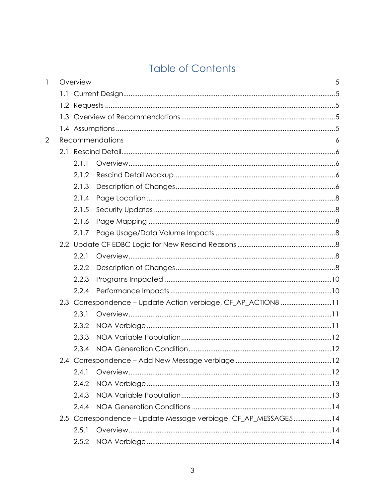## **Table of Contents**

| 1              | Overview |                                                                | 5 |
|----------------|----------|----------------------------------------------------------------|---|
|                |          |                                                                |   |
|                |          |                                                                |   |
|                |          |                                                                |   |
|                |          |                                                                |   |
| $\overline{2}$ |          | <b>Recommendations</b>                                         | 6 |
|                |          |                                                                |   |
|                | 2.1.1    |                                                                |   |
|                | 2.1.2    |                                                                |   |
|                | 2.1.3    |                                                                |   |
|                | 2.1.4    |                                                                |   |
|                | 2.1.5    |                                                                |   |
|                | 2.1.6    |                                                                |   |
|                | 2.1.7    |                                                                |   |
|                |          |                                                                |   |
|                | 2.2.1    |                                                                |   |
|                | 2.2.2    |                                                                |   |
|                | 2.2.3    |                                                                |   |
|                | 2.2.4    |                                                                |   |
|                |          | 2.3 Correspondence - Update Action verbiage, CF_AP_ACTION8 11  |   |
|                | 2.3.1    |                                                                |   |
|                | 2.3.2    |                                                                |   |
|                | 2.3.3    |                                                                |   |
|                | 2.3.4    |                                                                |   |
|                |          |                                                                |   |
|                | 2.4.1    |                                                                |   |
|                | 2.4.2    |                                                                |   |
|                | 2.4.3    |                                                                |   |
|                | 2.4.4    |                                                                |   |
|                |          | 2.5 Correspondence - Update Message verbiage, CF_AP_MESSAGE514 |   |
|                | 2.5.1    |                                                                |   |
|                | 2.5.2    |                                                                |   |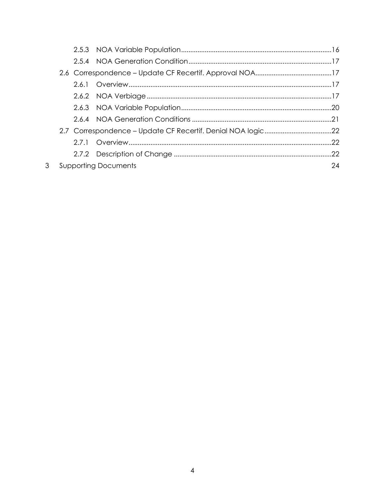|  | <b>Supporting Documents</b> | 24 |
|--|-----------------------------|----|

 $\mathfrak{S}$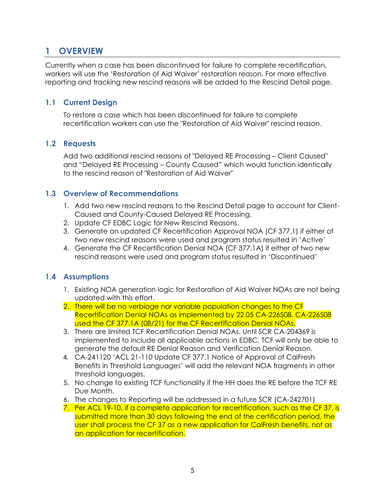## <span id="page-4-0"></span>**1 OVERVIEW**

Currently when a case has been discontinued for failure to complete recertification, workers will use the 'Restoration of Aid Waiver' restoration reason. For more effective reporting and tracking new rescind reasons will be added to the Rescind Detail page.

#### <span id="page-4-1"></span>**1.1 Current Design**

To restore a case which has been discontinued for failure to complete recertification workers can use the "Restoration of Aid Waiver" rescind reason.

#### <span id="page-4-2"></span>**1.2 Requests**

Add two additional rescind reasons of "Delayed RE Processing – Client Caused" and "Delayed RE Processing – County Caused" which would function identically to the rescind reason of "Restoration of Aid Waiver"

#### <span id="page-4-3"></span>**1.3 Overview of Recommendations**

- 1. Add two new rescind reasons to the Rescind Detail page to account for Client-Caused and County-Caused Delayed RE Processing.
- 2. Update CF EDBC Logic for New Rescind Reasons.
- 3. Generate an updated CF Recertification Approval NOA (CF 377.1) if either of two new rescind reasons were used and program status resulted in 'Active'
- 4. Generate the CF Recertification Denial NOA (CF 377.1A) if either of two new rescind reasons were used and program status resulted in 'Discontinued'

#### <span id="page-4-4"></span>**1.4 Assumptions**

- 1. Existing NOA generation logic for Restoration of Aid Waiver NOAs are not being updated with this effort.
- 2. There will be no verbiage nor variable population changes to the CF Recertification Denial NOAs as implemented by 22.05 CA-226508. CA-226508 used the CF 377.1A (08/21) for the CF Recertification Denial NOAs.
- 3. There are limited TCF Recertification Denial NOAs. Until SCR CA-204369 is implemented to include all applicable actions in EDBC, TCF will only be able to generate the default RE Denial Reason and Verification Denial Reason.
- 4. CA-241120 'ACL 21-110 Update CF 377.1 Notice of Approval of CalFresh Benefits in Threshold Languages' will add the relevant NOA fragments in other threshold languages.
- 5. No change to existing TCF functionality if the HH does the RE before the TCF RE Due Month.
- 6. The changes to Reporting will be addressed in a future SCR (CA-242701)
- 7. Per ACL 19-10, if a complete application for recertification, such as the CF 37, is submitted more than 30 days following the end of the certification period, the user shall process the CF 37 as a new application for CalFresh benefits, not as an application for recertification.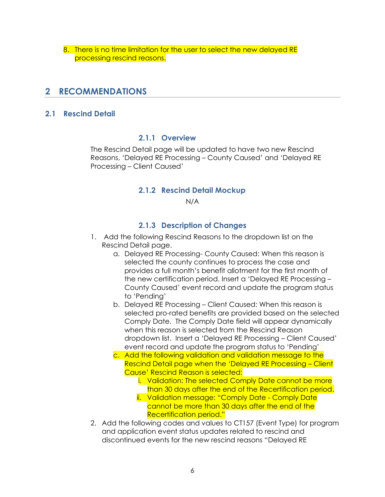8. There is no time limitation for the user to select the new delayed RE processing rescind reasons.

### <span id="page-5-0"></span>**2 RECOMMENDATIONS**

#### <span id="page-5-2"></span><span id="page-5-1"></span>**2.1 Rescind Detail**

#### **2.1.1 Overview**

<span id="page-5-3"></span>The Rescind Detail page will be updated to have two new Rescind Reasons, 'Delayed RE Processing – County Caused' and 'Delayed RE Processing – Client Caused'

#### **2.1.2 Rescind Detail Mockup**

N/A

#### **2.1.3 Description of Changes**

- <span id="page-5-4"></span>1. Add the following Rescind Reasons to the dropdown list on the Rescind Detail page.
	- a. Delayed RE Processing- County Caused: When this reason is selected the county continues to process the case and provides a full month's benefit allotment for the first month of the new certification period. Insert a 'Delayed RE Processing – County Caused' event record and update the program status to 'Pending'
	- b. Delayed RE Processing Client Caused: When this reason is selected pro-rated benefits are provided based on the selected Comply Date. The Comply Date field will appear dynamically when this reason is selected from the Rescind Reason dropdown list. Insert a 'Delayed RE Processing – Client Caused' event record and update the program status to 'Pending'
	- c. Add the following validation and validation message to the Rescind Detail page when the 'Delayed RE Processing – Client Cause' Rescind Reason is selected:
		- i. Validation: The selected Comply Date cannot be more than 30 days after the end of the Recertification period.
		- ii. Validation message: "Comply Date Comply Date cannot be more than 30 days after the end of the Recertification period."
- 2. Add the following codes and values to CT157 (Event Type) for program and application event status updates related to rescind and discontinued events for the new rescind reasons "Delayed RE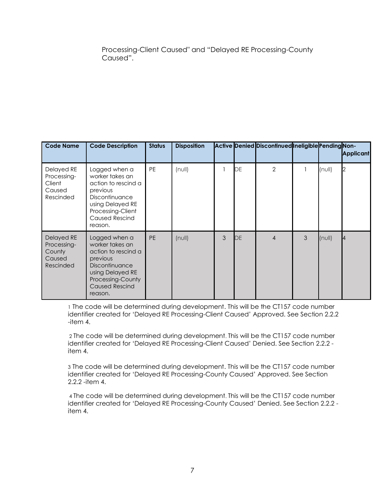Processing-Client Caused" and "Delayed RE Processing-County Caused".

| <b>Code Name</b>                                           | <b>Code Description</b>                                                                                                                                            | <b>Status</b> | <b>Disposition</b> |   |    | Active Denied Discontinued Ineligible Pending Non- |   |              | <b>Applicant</b> |
|------------------------------------------------------------|--------------------------------------------------------------------------------------------------------------------------------------------------------------------|---------------|--------------------|---|----|----------------------------------------------------|---|--------------|------------------|
| Delayed RE<br>Processing-<br>Client<br>Caused<br>Rescinded | Logged when a<br>worker takes an<br>action to rescind a<br>previous<br>Discontinuance<br>using Delayed RE<br>Processing-Client<br><b>Caused Rescind</b><br>reason. | <b>PE</b>     | $(n \cup l)$       |   | DE | $\overline{2}$                                     |   | $(n$ ull $)$ |                  |
| Delayed RE<br>Processing-<br>County<br>Caused<br>Rescinded | Logged when a<br>worker takes an<br>action to rescind a<br>previous<br>Discontinuance<br>using Delayed RE<br>Processing-County<br><b>Caused Rescind</b><br>reason. | <b>PE</b>     | $(n \cup l)$       | 3 | DE | $\overline{4}$                                     | 3 | $(n$ ull $)$ |                  |

1 The code will be determined during development. This will be the CT157 code number identifier created for 'Delayed RE Processing-Client Caused' Approved. See Section 2.2.2 -item 4.

2 The code will be determined during development. This will be the CT157 code number identifier created for 'Delayed RE Processing-Client Caused' Denied. See Section 2.2.2 item 4.

3 The code will be determined during development. This will be the CT157 code number identifier created for 'Delayed RE Processing-County Caused' Approved. See Section 2.2.2 -item 4.

4 The code will be determined during development. This will be the CT157 code number identifier created for 'Delayed RE Processing-County Caused' Denied. See Section 2.2.2 item 4.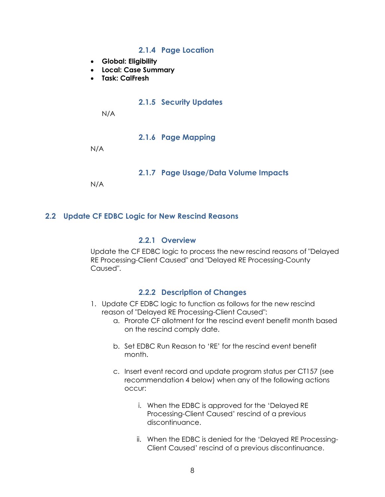#### **2.1.4 Page Location**

- <span id="page-7-0"></span>• **Global: Eligibility**
- **Local: Case Summary**
- <span id="page-7-1"></span>• **Task: CalFresh**

#### **2.1.5 Security Updates**

N/A

**2.1.6 Page Mapping**

<span id="page-7-3"></span><span id="page-7-2"></span>N/A

### **2.1.7 Page Usage/Data Volume Impacts**

N/A

#### <span id="page-7-5"></span><span id="page-7-4"></span>**2.2 Update CF EDBC Logic for New Rescind Reasons**

#### **2.2.1 Overview**

Update the CF EDBC logic to process the new rescind reasons of "Delayed RE Processing-Client Caused" and "Delayed RE Processing-County Caused".

#### **2.2.2 Description of Changes**

- <span id="page-7-6"></span>1. Update CF EDBC logic to function as follows for the new rescind reason of "Delayed RE Processing-Client Caused":
	- a. Prorate CF allotment for the rescind event benefit month based on the rescind comply date.
	- b. Set EDBC Run Reason to 'RE' for the rescind event benefit month.
	- c. Insert event record and update program status per CT157 (see recommendation 4 below) when any of the following actions occur:
		- i. When the EDBC is approved for the 'Delayed RE Processing-Client Caused' rescind of a previous discontinuance.
		- ii. When the EDBC is denied for the 'Delayed RE Processing-Client Caused' rescind of a previous discontinuance.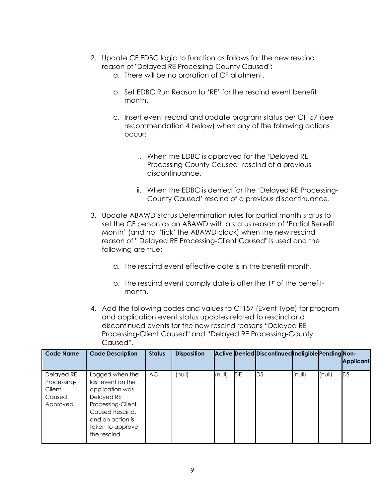- 2. Update CF EDBC logic to function as follows for the new rescind reason of "Delayed RE Processing-County Caused":
	- a. There will be no proration of CF allotment.
	- b. Set EDBC Run Reason to 'RE' for the rescind event benefit month.
	- c. Insert event record and update program status per CT157 (see recommendation 4 below) when any of the following actions occur:
		- i. When the EDBC is approved for the 'Delayed RE Processing-County Caused' rescind of a previous discontinuance.
		- ii. When the EDBC is denied for the 'Delayed RE Processing-County Caused' rescind of a previous discontinuance.
- 3. Update ABAWD Status Determination rules for partial month status to set the CF person as an ABAWD with a status reason of 'Partial Benefit Month' (and not 'tick' the ABAWD clock) when the new rescind reason of " Delayed RE Processing-Client Caused" is used and the following are true:
	- a. The rescind event effective date is in the benefit-month.
	- b. The rescind event comply date is after the  $1<sup>st</sup>$  of the benefitmonth.
- 4. Add the following codes and values to CT157 (Event Type) for program and application event status updates related to rescind and discontinued events for the new rescind reasons "Delayed RE Processing-Client Caused" and "Delayed RE Processing-County Caused".

| <b>Code Name</b>                                          | <b>Code Description</b>                                                                                                                                               | <b>Status</b> | <b>Disposition</b> |        |            | Active Denied Discontinued Ineligible Pending Non- |        |        | <b>Applicant</b> |
|-----------------------------------------------------------|-----------------------------------------------------------------------------------------------------------------------------------------------------------------------|---------------|--------------------|--------|------------|----------------------------------------------------|--------|--------|------------------|
| Delayed RE<br>Processing-<br>Client<br>Caused<br>Approved | Logged when the<br>last event on the<br>application was<br>Delayed RE<br>Processing-Client<br>Caused Rescind,<br>and an action is<br>taken to approve<br>the rescind. | AC.           | (null)             | (null) | <b>IDE</b> | <b>I</b> DS                                        | (null) | (null) | <b>IDS</b>       |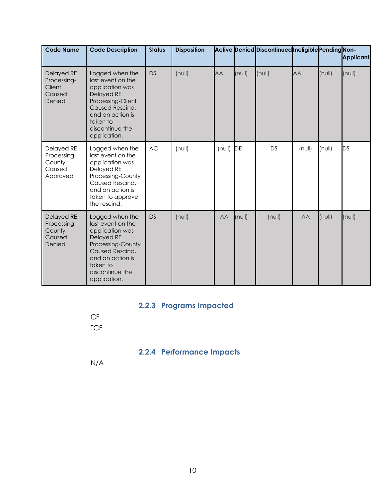| <b>Code Name</b>                                               | <b>Code Description</b>                                                                                                                                                                 | <b>Status</b> | <b>Disposition</b> |              |              | Active Denied Discontinued Ineligible Pending Non- |           |        | <b>Applicant</b> |
|----------------------------------------------------------------|-----------------------------------------------------------------------------------------------------------------------------------------------------------------------------------------|---------------|--------------------|--------------|--------------|----------------------------------------------------|-----------|--------|------------------|
| Delayed RE<br>Processing-<br>Client<br>Caused<br>Denied        | Logged when the<br>last event on the<br>application was<br>Delayed RE<br>Processing-Client<br>Caused Rescind,<br>and an action is<br>taken to<br>discontinue the<br>application.        | <b>DS</b>     | (null)             | <b>AA</b>    | $(n$ ull $)$ | (null)                                             | <b>AA</b> | (null) | (null)           |
| Delayed RE<br>Processing-<br>County<br>Caused<br>Approved      | Logged when the<br>last event on the<br>application was<br>Delayed RE<br>Processing-County<br>Caused Rescind,<br>and an action is<br>taken to approve<br>the rescind.                   | <b>AC</b>     | $(n \cup l)$       | $(n$ ull $)$ | DE           | <b>DS</b>                                          | (null)    | (null) | DS               |
| <b>Delayed RE</b><br>Processing-<br>County<br>Caused<br>Denied | Logged when the<br>last event on the<br>application was<br><b>Delayed RE</b><br>Processing-County<br>Caused Rescind,<br>and an action is<br>taken to<br>discontinue the<br>application. | <b>DS</b>     | (null)             | AA           | $(n$ ull $)$ | (null)                                             | AA        | (null) | (null)           |

## **2.2.3 Programs Impacted**

<span id="page-9-1"></span><span id="page-9-0"></span>CF **TCF** 

## **2.2.4 Performance Impacts**

N/A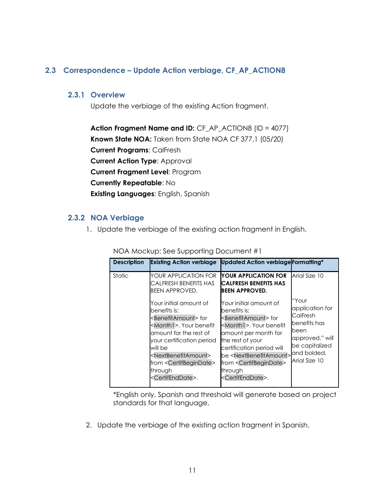#### <span id="page-10-1"></span><span id="page-10-0"></span>**2.3 Correspondence – Update Action verbiage, CF\_AP\_ACTION8**

#### **2.3.1 Overview**

Update the verbiage of the existing Action fragment.

**Action Fragment Name and ID:** CF\_AP\_ACTION8 (ID = 4077) **Known State NOA:** Taken from State NOA CF 377.1 (05/20) **Current Programs**: CalFresh **Current Action Type**: Approval **Current Fragment Level**: Program **Currently Repeatable**: No **Existing Languages**: English, Spanish

#### <span id="page-10-2"></span>**2.3.2 NOA Verbiage**

1. Update the verbiage of the existing action fragment in English.

| <b>Description</b> | <b>Existing Action verbiage</b>                                                                                                                                                                                                                                                                                                 | <b>Updated Action verbiage Formatting*</b>                                                                                                                                                                                                                                                                                                            |                                                                                                                    |
|--------------------|---------------------------------------------------------------------------------------------------------------------------------------------------------------------------------------------------------------------------------------------------------------------------------------------------------------------------------|-------------------------------------------------------------------------------------------------------------------------------------------------------------------------------------------------------------------------------------------------------------------------------------------------------------------------------------------------------|--------------------------------------------------------------------------------------------------------------------|
| <b>Static</b>      | <b>YOUR APPLICATION FOR</b><br>CALFRESH BENEFITS HAS<br><b>BEEN APPROVED.</b>                                                                                                                                                                                                                                                   | YOUR APPLICATION FOR<br><b>CALFRESH BENEFITS HAS</b><br>IBEEN APPROVED.                                                                                                                                                                                                                                                                               | Arial Size 10                                                                                                      |
|                    | Your initial amount of<br>benefits is:<br><benefitamount>for<br/><month1>. Your benefit<br/>amount for the rest of<br/>your certification period<br/>will be<br/><nextbenefitamount><br/>from <certifbegindate><br/>through<br/><certifenddate>.</certifenddate></certifbegindate></nextbenefitamount></month1></benefitamount> | Your initial amount of<br>benefits is:<br><benefitamount>for<br/><month1>. Your benefit<br/>amount per month for<br/>the rest of your<br/>certification period will<br/>be <nextbenefitamount> and bolded,<br/>from <certifbegindate><br/>through<br/><certifenddate>.</certifenddate></certifbegindate></nextbenefitamount></month1></benefitamount> | "Your<br>application for<br>CalFresh<br>benefits has<br>been<br>approved." will<br>be capitalized<br>Arial Size 10 |

NOA Mockup: See Supporting Document #1

\*English only, Spanish and threshold will generate based on project standards for that language.

2. Update the verbiage of the existing action fragment in Spanish.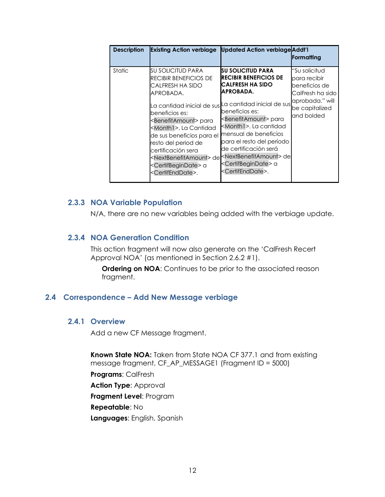| <b>Description</b> | <b>Existing Action verbiage</b>                                                                                                                                                                                                                                                                                                                                            | <b>Updated Action verbiage Addt'l</b>                                                                                                                                                                                                                                                                                                                                                                                                                                                       | <b> Formatting</b>                                                                                                    |
|--------------------|----------------------------------------------------------------------------------------------------------------------------------------------------------------------------------------------------------------------------------------------------------------------------------------------------------------------------------------------------------------------------|---------------------------------------------------------------------------------------------------------------------------------------------------------------------------------------------------------------------------------------------------------------------------------------------------------------------------------------------------------------------------------------------------------------------------------------------------------------------------------------------|-----------------------------------------------------------------------------------------------------------------------|
| <b>Static</b>      | SU SOLICITUD PARA<br><b>RECIBIR BENEFICIOS DE</b><br>CALFRESH HA SIDO<br>APROBADA.<br>La cantidad inicial de sus <br>beneficios es:<br><benefitamount> para<br/><month1>. La Cantidad<br/>de sus beneficios para el<br/>resto del period de<br/>certificación sera<br/><certifbegindate> a<br/><certifenddate>.</certifenddate></certifbegindate></month1></benefitamount> | SU SOLICITUD PARA<br><b>RECIBIR BENEFICIOS DE</b><br><b>CALFRESH HA SIDO</b><br>APROBADA.<br>La cantidad inicial de sus<br>beneficios es:<br><benefitamount> para<br/><month1>. La cantidad<br/>mensual de beneficios<br/>para el resto del período<br/>de certificación será<br/>l<nextbenefitamount> de¶<sup><nextbenefitamount> de</nextbenefitamount></sup><br/><certifbegindate> a<br/><certifenddate>.</certifenddate></certifbegindate></nextbenefitamount></month1></benefitamount> | "Su solicitud<br>para recibir<br>beneficios de<br>CalFresh ha sido<br>aprobada." will<br>be capitalized<br>and bolded |

#### <span id="page-11-0"></span>**2.3.3 NOA Variable Population**

N/A, there are no new variables being added with the verbiage update.

#### <span id="page-11-1"></span>**2.3.4 NOA Generation Condition**

This action fragment will now also generate on the 'CalFresh Recert Approval NOA' (as mentioned in Section 2.6.2 #1).

**Ordering on NOA:** Continues to be prior to the associated reason fragment.

#### <span id="page-11-3"></span><span id="page-11-2"></span>**2.4 Correspondence – Add New Message verbiage**

#### **2.4.1 Overview**

Add a new CF Message fragment.

**Known State NOA:** Taken from State NOA CF 377.1 and from existing message fragment, CF\_AP\_MESSAGE1 (Fragment ID = 5000)

**Programs**: CalFresh **Action Type**: Approval **Fragment Level**: Program **Repeatable**: No **Languages**: English, Spanish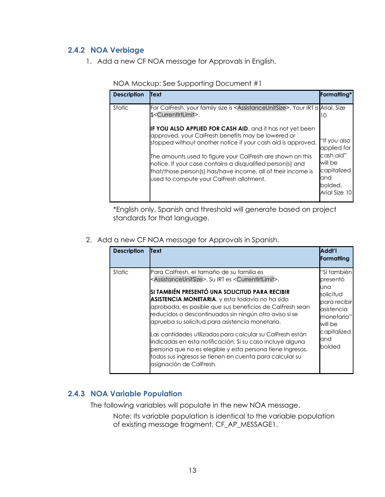#### <span id="page-12-0"></span>**2.4.2 NOA Verbiage**

1. Add a new CF NOA message for Approvals in English.

| <b>Description</b> | <b>Text</b>                                                                                                                                                                                                                                                                                                                                                                                                                                                                                                                                 | <b>Formatting*</b>                                                              |
|--------------------|---------------------------------------------------------------------------------------------------------------------------------------------------------------------------------------------------------------------------------------------------------------------------------------------------------------------------------------------------------------------------------------------------------------------------------------------------------------------------------------------------------------------------------------------|---------------------------------------------------------------------------------|
| Static             | For CalFresh, your family size is <assistanceunitsize>. Your IRT is Arial, Size<br/>\$<currentirtlimit>.<br/><b>IF YOU ALSO APPLIED FOR CASH AID, and it has not yet been</b><br/>approved, your CalFresh benefits may be lowered or<br/>stopped without another notice if your cash aid is approved.<br/>The amounts used to figure your CalFresh are shown on this<br/>notice. If your case contains a disqualified person(s) and<br/>that/those person(s) has/have income, all of their income is</currentirtlimit></assistanceunitsize> | тO<br>"If you also<br>applied for<br>cash aid"<br>will be<br>capitalized<br>and |
|                    | used to compute your CalFresh allotment.                                                                                                                                                                                                                                                                                                                                                                                                                                                                                                    | bolded,<br>Arial Size 10                                                        |
|                    |                                                                                                                                                                                                                                                                                                                                                                                                                                                                                                                                             |                                                                                 |

NOA Mockup: See Supporting Document #1

\*English only, Spanish and threshold will generate based on project standards for that language.

2. Add a new CF NOA message for Approvals in Spanish.

| <b>Description</b> | Text                                                                                                                                                                                                                                                                                                                                                                                                                                                                                                                                                                                                                                                                                                        | Addi'l<br>Formatting                                                                                                                |
|--------------------|-------------------------------------------------------------------------------------------------------------------------------------------------------------------------------------------------------------------------------------------------------------------------------------------------------------------------------------------------------------------------------------------------------------------------------------------------------------------------------------------------------------------------------------------------------------------------------------------------------------------------------------------------------------------------------------------------------------|-------------------------------------------------------------------------------------------------------------------------------------|
| Static             | Para CalFresh, el tamaño de su familia es<br><assistanceunitsize>. Su IRT es <currentirtlimit>.<br/>SI TAMBIÉN PRESENTÓ UNA SOLICITUD PARA RECIBIR<br/>ASISTENCIA MONETARIA, y esta todavía no ha sido<br/>aprobada, es posible que sus beneficios de CalFresh sean<br/>reducidos o descontinuados sin ningún otro aviso si se<br/>aprueba su solicitud para asistencia monetaria.<br/>Las cantidades utilizadas para calcular su CalFresh están<br/>indicadas en esta notificación. Si su caso incluye alguna<br/>persona que no es elegible y esta persona tiene ingresos,<br/>todos sus ingresos se tienen en cuenta para calcular su<br/>asignación de CalFresh.</currentirtlimit></assistanceunitsize> | "Si tambiénl<br>presentó<br>una<br>solicitud<br>para recibir<br>asistencia<br>monetaria"<br>will be<br>capitalized<br>and<br>bolded |

#### <span id="page-12-1"></span>**2.4.3 NOA Variable Population**

The following variables will populate in the new NOA message.

Note: Its variable population is identical to the variable population of existing message fragment, CF\_AP\_MESSAGE1.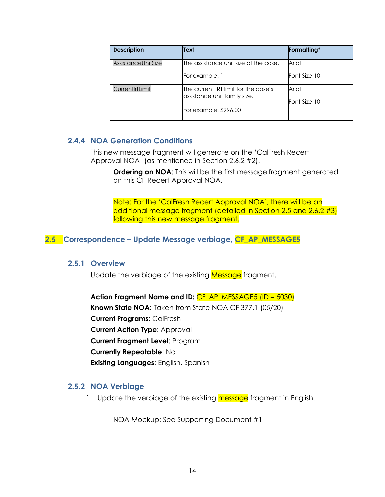| <b>Description</b> | Text                                                                                          | Formatting*           |
|--------------------|-----------------------------------------------------------------------------------------------|-----------------------|
| AssistanceUnitSize | The assistance unit size of the case.<br>For example: 1                                       | Arial<br>Font Size 10 |
| CurrentIrtLimit    | The current IRT limit for the case's<br>assistance unit family size.<br>For example: \$996.00 | Arial<br>Font Size 10 |

#### <span id="page-13-0"></span>**2.4.4 NOA Generation Conditions**

This new message fragment will generate on the 'CalFresh Recert Approval NOA' (as mentioned in Section 2.6.2 #2).

**Ordering on NOA:** This will be the first message fragment generated on this CF Recert Approval NOA.

Note: For the 'CalFresh Recert Approval NOA', there will be an additional message fragment (detailed in Section 2.5 and 2.6.2 #3) following this new message fragment.

#### <span id="page-13-2"></span><span id="page-13-1"></span>**2.5 Correspondence – Update Message verbiage, CF\_AP\_MESSAGE5**

#### **2.5.1 Overview**

Update the verbiage of the existing Message fragment.

**Action Fragment Name and ID:** CF\_AP\_MESSAGE5 (ID = 5030) **Known State NOA:** Taken from State NOA CF 377.1 (05/20) **Current Programs**: CalFresh **Current Action Type**: Approval **Current Fragment Level**: Program **Currently Repeatable**: No **Existing Languages**: English, Spanish

#### <span id="page-13-3"></span>**2.5.2 NOA Verbiage**

1. Update the verbiage of the existing message fragment in English.

NOA Mockup: See Supporting Document #1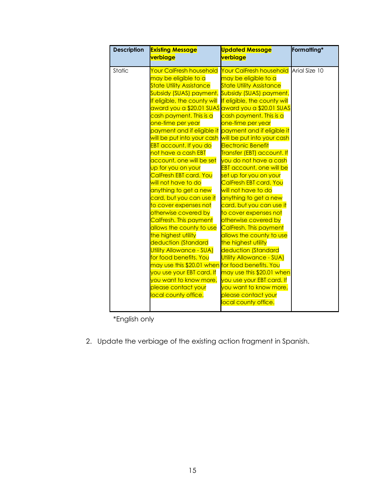| <b>Description</b> | <b>Existing Message</b><br><mark>verbiage</mark>                                                                                                                                                                                                                                                                                                                                                                                                                                                                                                                                                                                                                                                                                                                                                                                                                                                                       | <b>Updated Message</b><br>verbiage                                                                                                                                                                                                                                                                                                                                                                                                                                                                                                                                                                                                                                                                                                                                                                                                                                                                                                   | Formatting* |
|--------------------|------------------------------------------------------------------------------------------------------------------------------------------------------------------------------------------------------------------------------------------------------------------------------------------------------------------------------------------------------------------------------------------------------------------------------------------------------------------------------------------------------------------------------------------------------------------------------------------------------------------------------------------------------------------------------------------------------------------------------------------------------------------------------------------------------------------------------------------------------------------------------------------------------------------------|--------------------------------------------------------------------------------------------------------------------------------------------------------------------------------------------------------------------------------------------------------------------------------------------------------------------------------------------------------------------------------------------------------------------------------------------------------------------------------------------------------------------------------------------------------------------------------------------------------------------------------------------------------------------------------------------------------------------------------------------------------------------------------------------------------------------------------------------------------------------------------------------------------------------------------------|-------------|
| Static             | <b>Your CalFresh household</b><br>may be eligible to a<br><b>State Utility Assistance</b><br>Subsidy (SUAS) payment.<br>If eligible, the county will<br>cash payment. This is a<br><mark>one-time per year</mark><br>payment and if eligible it<br>will be put into your cash<br><b>EBT account. If you do</b><br><mark>not have a cash EBT</mark><br>account, one will be set<br><mark>up for you on your</mark><br>CalFresh EBT card. You<br>will not have to do<br>anything to get a new<br><mark>card, but you can use it</mark><br>to cover expenses not<br>otherwise covered by<br>CalFresh. This payment<br>allows the county to use<br>the highest utility<br>deduction (Standard<br>Utility Allowance - SUA)<br>for food benefits. You<br>may use this \$20.01 when for food benefits. You<br>you use your EBT card. If<br>you want to know more,<br><mark>please contact your</mark><br>local county office. | Your CalFresh household Arial Size 10<br>may be eligible to a<br><b>State Utility Assistance</b><br>Subsidy (SUAS) payment.<br>If eligible, the county will<br>award you a \$20.01 SUAS <mark>award you a \$20.01 SUAS</mark><br>cash payment. This is a<br><mark>one-time per year</mark><br>payment and if eligible it<br>will be put into your cash<br><b>Electronic Benefit</b><br>Transfer (EBT) account. If<br>you do not have a cash<br><b>EBT account, one will be</b><br>set up for you on your<br>CalFresh EBT card. You<br>will not have to do<br>anything to get a new<br><mark>card, but you can use it</mark><br>to cover expenses not<br>otherwise covered by<br>CalFresh. This payment<br>allows the county to use<br>the highest utility<br>deduction (Standard<br>Utility Allowance - SUA)<br>may use this \$20.01 when<br>you use your EBT card. If<br>you want to know more,<br><mark>please contact your</mark> |             |
|                    |                                                                                                                                                                                                                                                                                                                                                                                                                                                                                                                                                                                                                                                                                                                                                                                                                                                                                                                        | local county office.                                                                                                                                                                                                                                                                                                                                                                                                                                                                                                                                                                                                                                                                                                                                                                                                                                                                                                                 |             |

\*English only

2. Update the verbiage of the existing action fragment in Spanish.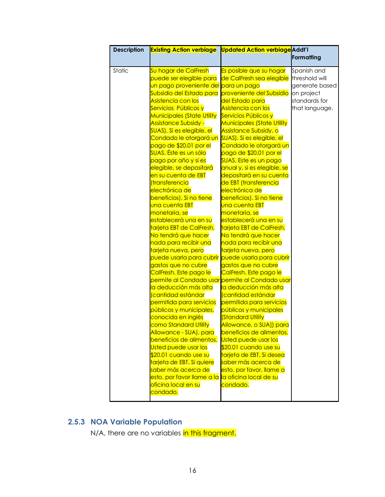| <b>Description</b> | <b>Existing Action verbiage Updated Action verbiage</b> Addt'l |                                                                                                     |                |
|--------------------|----------------------------------------------------------------|-----------------------------------------------------------------------------------------------------|----------------|
|                    |                                                                |                                                                                                     | Formatting     |
| Static             | Su hogar de CalFresh                                           | Es posible que su hogar                                                                             | Spanish and    |
|                    | puede ser elegible para                                        | de CalFresh sea elegible                                                                            | threshold will |
|                    | un pago proveniente del para un pago                           |                                                                                                     | generate based |
|                    | Subsidio del Estado para                                       | proveniente del Subsidio                                                                            | on project     |
|                    | Asistencia con los                                             | <mark>del Estado para</mark>                                                                        | standards for  |
|                    | Servicios Públicos y                                           | Asistencia con los                                                                                  | that language. |
|                    | <b>Municipales (State Utility</b>                              | Servicios Públicos y                                                                                |                |
|                    | <mark>Assistance Subsidy -</mark>                              | <b>Municipales (State Utility</b>                                                                   |                |
|                    | SUAS). Si es elegible, el                                      | Assistance Subsidy, o                                                                               |                |
|                    | Condado le otorgará un                                         | SUAS). Si es elegible, el                                                                           |                |
|                    | pago de \$20.01 por el                                         | Condado le otorgará un                                                                              |                |
|                    | SUAS. Éste es un sólo                                          | pago de \$20.01 por el                                                                              |                |
|                    | pago por año y si es                                           | SUAS. Este es un pago                                                                               |                |
|                    | elegible, se depositará                                        | anual y, si es elegible, se                                                                         |                |
|                    | en su cuenta de EBT                                            | depositará en su cuenta                                                                             |                |
|                    | transferencia                                                  | de EBT (transferencia                                                                               |                |
|                    | electrónica de                                                 | electrónica de                                                                                      |                |
|                    | beneficios). Si no tiene                                       | beneficios). Si no tiene                                                                            |                |
|                    | una cuenta EBT                                                 | una cuenta EBT                                                                                      |                |
|                    | monetaria, se                                                  | monetaria, se                                                                                       |                |
|                    | establecerá una en su                                          | establecerá una en su                                                                               |                |
|                    | tarjeta EBT de CalFresh.                                       | tarjeta EBT de CalFresh.                                                                            |                |
|                    | No tendrá que hacer                                            | No tendrá que hacer                                                                                 |                |
|                    | nada para recibir una                                          | nada para recibir una                                                                               |                |
|                    | tarjeta nueva, pero                                            | tarjeta nueva, pero                                                                                 |                |
|                    | puede usarla para cubrir puede usarla para cubrir              |                                                                                                     |                |
|                    | gastos que no cubre                                            | gastos que no cubre                                                                                 |                |
|                    | CalFresh. Este pago le                                         | CalFresh. Este pago le<br><mark>permite al Condado usar</mark> <mark>permite al Condado usar</mark> |                |
|                    | <mark>la deducción más alta</mark>                             | la deducción más alta                                                                               |                |
|                    | <mark>(cantidad estándar</mark>                                | cantidad estándar                                                                                   |                |
|                    | permitida para servicios                                       | permitida para servicios                                                                            |                |
|                    | públicos y municipales,                                        | públicos y municipales                                                                              |                |
|                    | <mark>conocida en inglés</mark>                                | <b>Standard Utility</b>                                                                             |                |
|                    | como Standard Utility                                          | Allowance, o SUAII para                                                                             |                |
|                    | Allowance - SUA), para                                         | beneficios de alimentos.                                                                            |                |
|                    | beneficios de alimentos.                                       | <b>Usted puede usar los</b>                                                                         |                |
|                    | Usted puede usar los                                           | \$20.01 cuando use su                                                                               |                |
|                    | \$20.01 cuando use su                                          | tarjeta de EBT. Si desea                                                                            |                |
|                    | tarjeta de EBT. Si quiere                                      | <mark>saber más acerca de</mark>                                                                    |                |
|                    | <mark>saber más acerca de</mark>                               | esto, por favor, llame a                                                                            |                |
|                    | esto, por favor llame a la                                     | la oficina local de su                                                                              |                |
|                    | <mark>oficina local en su</mark>                               | <mark>condado.</mark>                                                                               |                |
|                    | <mark>condado.</mark>                                          |                                                                                                     |                |
|                    |                                                                |                                                                                                     |                |

## <span id="page-15-0"></span>**2.5.3 NOA Variable Population**

N/A, there are no variables in this fragment.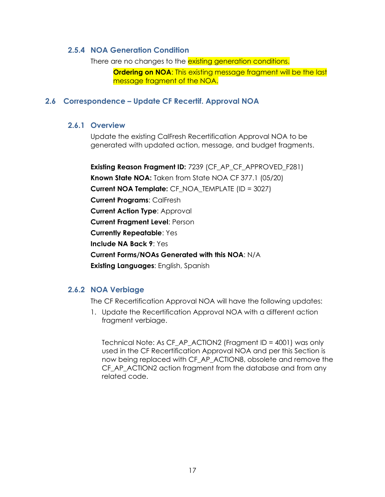#### <span id="page-16-0"></span>**2.5.4 NOA Generation Condition**

There are no changes to the existing generation conditions. **Ordering on NOA:** This existing message fragment will be the last message fragment of the NOA.

#### <span id="page-16-2"></span><span id="page-16-1"></span>**2.6 Correspondence – Update CF Recertif. Approval NOA**

#### **2.6.1 Overview**

Update the existing CalFresh Recertification Approval NOA to be generated with updated action, message, and budget fragments.

**Existing Reason Fragment ID: 7239 (CF AP CF APPROVED F281) Known State NOA:** Taken from State NOA CF 377.1 (05/20) **Current NOA Template:** CF\_NOA\_TEMPLATE (ID = 3027) **Current Programs**: CalFresh **Current Action Type**: Approval **Current Fragment Level**: Person **Currently Repeatable**: Yes **Include NA Back 9**: Yes **Current Forms/NOAs Generated with this NOA**: N/A **Existing Languages**: English, Spanish

#### <span id="page-16-3"></span>**2.6.2 NOA Verbiage**

The CF Recertification Approval NOA will have the following updates:

1. Update the Recertification Approval NOA with a different action fragment verbiage.

Technical Note: As CF\_AP\_ACTION2 (Fragment ID = 4001) was only used in the CF Recertification Approval NOA and per this Section is now being replaced with CF\_AP\_ACTION8, obsolete and remove the CF AP ACTION2 action fragment from the database and from any related code.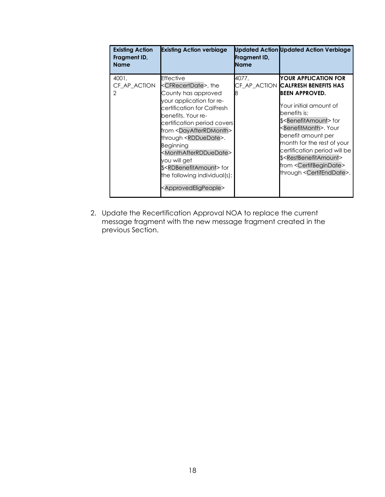| <b>Existing Action</b><br>Fragment ID,<br><b>Name</b> | <b>Existing Action verbiage</b>                                                                                                                                                                                                                                                                                                                                                                                                                                                                | Fragment ID,<br><b>Name</b> | <b>Updated Action Updated Action Verbiage</b>                                                                                                                                                                                                                                                                                                                                                                                                          |
|-------------------------------------------------------|------------------------------------------------------------------------------------------------------------------------------------------------------------------------------------------------------------------------------------------------------------------------------------------------------------------------------------------------------------------------------------------------------------------------------------------------------------------------------------------------|-----------------------------|--------------------------------------------------------------------------------------------------------------------------------------------------------------------------------------------------------------------------------------------------------------------------------------------------------------------------------------------------------------------------------------------------------------------------------------------------------|
| 4001.<br>CF AP ACTION<br>2                            | Effective<br><cfrecertdate>, the<br/>County has approved<br/>your application for re-<br/>certification for CalFresh<br/>benefits. Your re-<br/>certification period covers<br/>from <dayafterrdmonth><br/>through <rdduedate>.<br/><b>Beginning</b><br/><monthafterrdduedate><br/>you will get<br/>\$<rdbenefitamount>for<br/>the following individual(s):<br/><approvedeligpeople></approvedeligpeople></rdbenefitamount></monthafterrdduedate></rdduedate></dayafterrdmonth></cfrecertdate> | 4077.                       | <b>IYOUR APPLICATION FOR</b><br>CF AP ACTION CALFRESH BENEFITS HAS<br><b>IBEEN APPROVED.</b><br>Your initial amount of<br>benefits is:<br>\$ <benefitamount>for<br/><benefitmonth>. Your<br/>benefit amount per<br/>month for the rest of your<br/>certification period will be<br/>\$<restbenefitamount><br/>from <certifbegindate><br/>through <certifenddate>.</certifenddate></certifbegindate></restbenefitamount></benefitmonth></benefitamount> |

2. Update the Recertification Approval NOA to replace the current message fragment with the new message fragment created in the previous Section.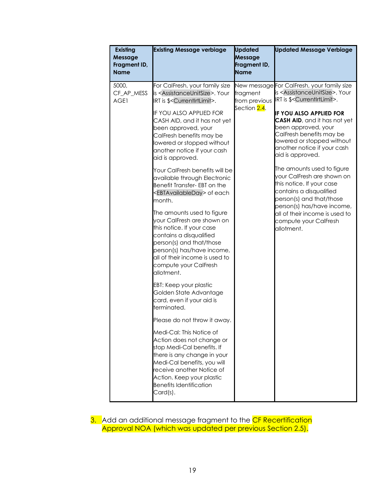| <b>Existing</b><br>Message<br>Fragment ID,<br><b>Name</b> | <b>Existing Message verbiage</b>                                                                                                                                                                                                                                                                                                                                                                                                                                                                                                                                                                                                                                                                                                                                                                                                                                                                                                                                                                                                                                                                                                                                                        | <b>Updated</b><br><b>Message</b><br>Fragment ID,<br><b>Name</b> | <b>Updated Message Verbiage</b>                                                                                                                                                                                                                                                                                                                                                                                                                                                                                                                                                                                                 |
|-----------------------------------------------------------|-----------------------------------------------------------------------------------------------------------------------------------------------------------------------------------------------------------------------------------------------------------------------------------------------------------------------------------------------------------------------------------------------------------------------------------------------------------------------------------------------------------------------------------------------------------------------------------------------------------------------------------------------------------------------------------------------------------------------------------------------------------------------------------------------------------------------------------------------------------------------------------------------------------------------------------------------------------------------------------------------------------------------------------------------------------------------------------------------------------------------------------------------------------------------------------------|-----------------------------------------------------------------|---------------------------------------------------------------------------------------------------------------------------------------------------------------------------------------------------------------------------------------------------------------------------------------------------------------------------------------------------------------------------------------------------------------------------------------------------------------------------------------------------------------------------------------------------------------------------------------------------------------------------------|
| 5000,<br>CF_AP_MESS<br>AGE1                               | For CalFresh, your family size<br>is <assistanceunitsize>. Your<br/>IRT is \$<currentirtlimit>.<br/>IF YOU ALSO APPLIED FOR<br/>CASH AID, and it has not yet<br/>been approved, your<br/>CalFresh benefits may be<br/>lowered or stopped without<br/>another notice if your cash<br/>aid is approved.<br/>Your CalFresh benefits will be<br/>available through Electronic<br/>Benefit Transfer- EBT on the<br/><ebtavailableday> of each<br/>month.<br/>The amounts used to figure<br/>your CalFresh are shown on<br/>this notice. If your case<br/>contains a disqualified<br/>person(s) and that/those<br/>person(s) has/have income,<br/>all of their income is used to<br/>compute your CalFresh<br/>allotment.<br/>EBT: Keep your plastic<br/>Golden State Advantage<br/>card, even if your aid is<br/>terminated.<br/>Please do not throw it away.<br/>Medi-Cal: This Notice of<br/>Action does not change or<br/>stop Medi-Cal benefits. If<br/>there is any change in your<br/>Medi-Cal benefits, you will<br/>receive another Notice of<br/>Action. Keep your plastic<br/><b>Benefits Identification</b><br/>Card(s).</ebtavailableday></currentirtlimit></assistanceunitsize> | fragment<br>from previous<br>Section 2.4.                       | New message For CalFresh, your family size<br>is <assistanceunitsize>. Your<br/>IRT is \$<currentirtlimit>.<br/><b>IF YOU ALSO APPLIED FOR</b><br/>CASH AID, and it has not yet<br/>been approved, your<br/>CalFresh benefits may be<br/>lowered or stopped without<br/>another notice if your cash<br/>aid is approved.<br/>The amounts used to figure<br/>your CalFresh are shown on<br/>this notice. If your case<br/>contains a disqualified<br/>person(s) and that/those<br/>person(s) has/have income,<br/>all of their income is used to<br/>compute your CalFresh<br/>allotment.</currentirtlimit></assistanceunitsize> |

3. Add an additional message fragment to the <mark>CF Recertification</mark> Approval NOA (which was updated per previous Section 2.5).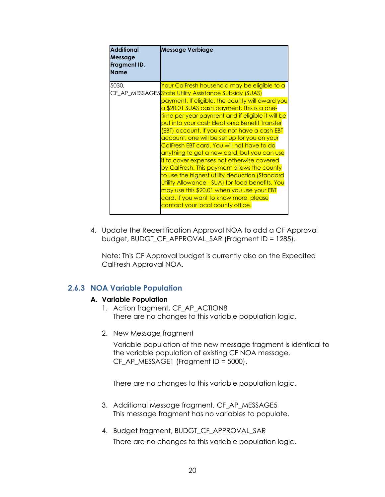| <b>Additional</b><br><b>Message</b><br>Fragment ID,<br><b>Name</b> | <b>Message Verbiage</b>                                             |
|--------------------------------------------------------------------|---------------------------------------------------------------------|
| 5030,                                                              | Your CalFresh household may be eligible to a                        |
|                                                                    | CF_AP_MESSAGE5 <mark>State Utility Assistance Subsidy (SUAS)</mark> |
|                                                                    | payment. If eligible, the county will award you                     |
|                                                                    | a \$20.01 SUAS cash payment. This is a one-                         |
|                                                                    | time per year payment and if eligible it will be                    |
|                                                                    | put into your cash Electronic Benefit Transfer                      |
|                                                                    | (EBT) account. If you do not have a cash EBT                        |
|                                                                    | account, one will be set up for you on your                         |
|                                                                    | CalFresh EBT card. You will not have to do                          |
|                                                                    | anything to get a new card, but you can use                         |
|                                                                    | it to cover expenses not otherwise covered                          |
|                                                                    | by CalFresh. This payment allows the county                         |
|                                                                    | to use the highest utility deduction (Standard                      |
|                                                                    | Utility Allowance - SUA) for food benefits. You                     |
|                                                                    | may use this \$20.01 when you use your EBT                          |
|                                                                    | card. If you want to know more, please                              |
|                                                                    | <u>contact your local county office.</u>                            |
|                                                                    |                                                                     |

4. Update the Recertification Approval NOA to add a CF Approval budget, BUDGT\_CF\_APPROVAL\_SAR (Fragment ID = 1285).

Note: This CF Approval budget is currently also on the Expedited CalFresh Approval NOA.

#### <span id="page-19-0"></span>**2.6.3 NOA Variable Population**

#### **A. Variable Population**

- 1. Action fragment, CF\_AP\_ACTION8 There are no changes to this variable population logic.
- 2. New Message fragment

Variable population of the new message fragment is identical to the variable population of existing CF NOA message, CF\_AP\_MESSAGE1 (Fragment ID = 5000).

There are no changes to this variable population logic.

- 3. Additional Message fragment, CF\_AP\_MESSAGE5 This message fragment has no variables to populate.
- 4. Budget fragment, BUDGT\_CF\_APPROVAL\_SAR There are no changes to this variable population logic.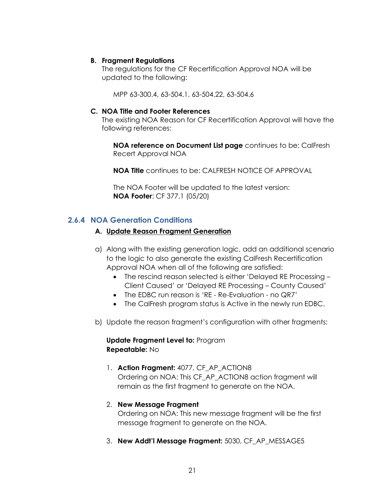#### **B. Fragment Regulations**

The regulations for the CF Recertification Approval NOA will be updated to the following:

MPP 63-300.4, 63-504.1, 63-504.22, 63-504.6

#### **C. NOA Title and Footer References**

The existing NOA Reason for CF Recertification Approval will have the following references:

**NOA reference on Document List page** continues to be: CalFresh Recert Approval NOA

**NOA Title** continues to be: CALFRESH NOTICE OF APPROVAL

The NOA Footer will be updated to the latest version: **NOA Footer**: CF 377.1 (05/20)

#### <span id="page-20-0"></span>**2.6.4 NOA Generation Conditions**

#### **A. Update Reason Fragment Generation**

- a) Along with the existing generation logic, add an additional scenario to the logic to also generate the existing CalFresh Recertification Approval NOA when all of the following are satisfied:
	- The rescind reason selected is either 'Delayed RE Processing Client Caused' or 'Delayed RE Processing – County Caused'
	- The EDBC run reason is 'RE Re-Evaluation no QR7'
	- The CalFresh program status is Active in the newly run EDBC.
- b) Update the reason fragment's configuration with other fragments:

**Update Fragment Level to:** Program **Repeatable:** No

1. **Action Fragment:** 4077, CF\_AP\_ACTION8 Ordering on NOA: This CF\_AP\_ACTION8 action fragment will remain as the first fragment to generate on the NOA.

#### 2. **New Message Fragment**

Ordering on NOA: This new message fragment will be the first message fragment to generate on the NOA.

3. **New Addt'l Message Fragment:** 5030, CF\_AP\_MESSAGE5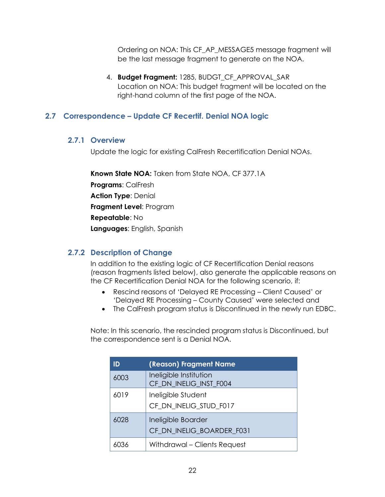Ordering on NOA: This CF\_AP\_MESSAGE5 message fragment will be the last message fragment to generate on the NOA.

4. **Budget Fragment:** 1285, BUDGT\_CF\_APPROVAL\_SAR Location on NOA: This budget fragment will be located on the right-hand column of the first page of the NOA.

#### <span id="page-21-1"></span><span id="page-21-0"></span>**2.7 Correspondence – Update CF Recertif. Denial NOA logic**

#### **2.7.1 Overview**

Update the logic for existing CalFresh Recertification Denial NOAs.

**Known State NOA:** Taken from State NOA, CF 377.1A

**Programs**: CalFresh

**Action Type**: Denial

**Fragment Level**: Program

**Repeatable**: No

**Languages**: English, Spanish

#### <span id="page-21-2"></span>**2.7.2 Description of Change**

In addition to the existing logic of CF Recertification Denial reasons (reason fragments listed below), also generate the applicable reasons on the CF Recertification Denial NOA for the following scenario, if:

- Rescind reasons of 'Delayed RE Processing Client Caused' or 'Delayed RE Processing – County Caused' were selected and
- The CalFresh program status is Discontinued in the newly run EDBC.

Note: In this scenario, the rescinded program status is Discontinued, but the correspondence sent is a Denial NOA.

| ID   | (Reason) Fragment Name                           |
|------|--------------------------------------------------|
| 6003 | Ineligible Institution<br>CF_DN_INELIG_INST_F004 |
| 6019 | Ineligible Student<br>CF_DN_INELIG_STUD_F017     |
| 6028 | Ineligible Boarder<br>CF_DN_INELIG_BOARDER_F031  |
| 6036 | Withdrawal - Clients Request                     |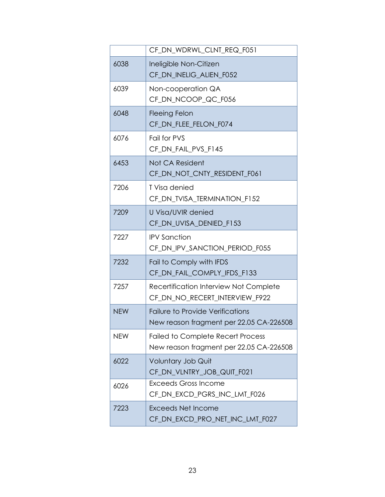|            | CF DN WDRWL CLNT REQ F051                                                           |  |
|------------|-------------------------------------------------------------------------------------|--|
| 6038       | Ineligible Non-Citizen<br>CF_DN_INELIG_ALIEN_F052                                   |  |
| 6039       | Non-cooperation QA<br>CF_DN_NCOOP_QC_F056                                           |  |
| 6048       | <b>Fleeing Felon</b><br>CF_DN_FLEE_FELON_F074                                       |  |
| 6076       | Fail for PVS<br>CF_DN_FAIL_PVS_F145                                                 |  |
| 6453       | Not CA Resident<br>CF_DN_NOT_CNTY_RESIDENT_F061                                     |  |
| 7206       | T Visa denied<br>CF_DN_TVISA_TERMINATION_F152                                       |  |
| 7209       | <b>U Visa/UVIR denied</b><br>CF_DN_UVISA_DENIED_F153                                |  |
| 7227       | <b>IPV Sanction</b><br>CF_DN_IPV_SANCTION_PERIOD_F055                               |  |
| 7232       | Fail to Comply with IFDS<br>CF_DN_FAIL_COMPLY_IFDS_F133                             |  |
| 7257       | Recertification Interview Not Complete<br>CF_DN_NO_RECERT_INTERVIEW_F922            |  |
| <b>NEW</b> | Failure to Provide Verifications<br>New reason fragment per 22.05 CA-226508         |  |
| <b>NEW</b> | <b>Failed to Complete Recert Process</b><br>New reason fragment per 22.05 CA-226508 |  |
| 6022       | Voluntary Job Quit<br>CF_DN_VLNTRY_JOB_QUIT_F021                                    |  |
| 6026       | <b>Exceeds Gross Income</b><br>CF DN EXCD PGRS INC LMT F026                         |  |
| 7223       | <b>Exceeds Net Income</b><br>CF_DN_EXCD_PRO_NET_INC_LMT_F027                        |  |